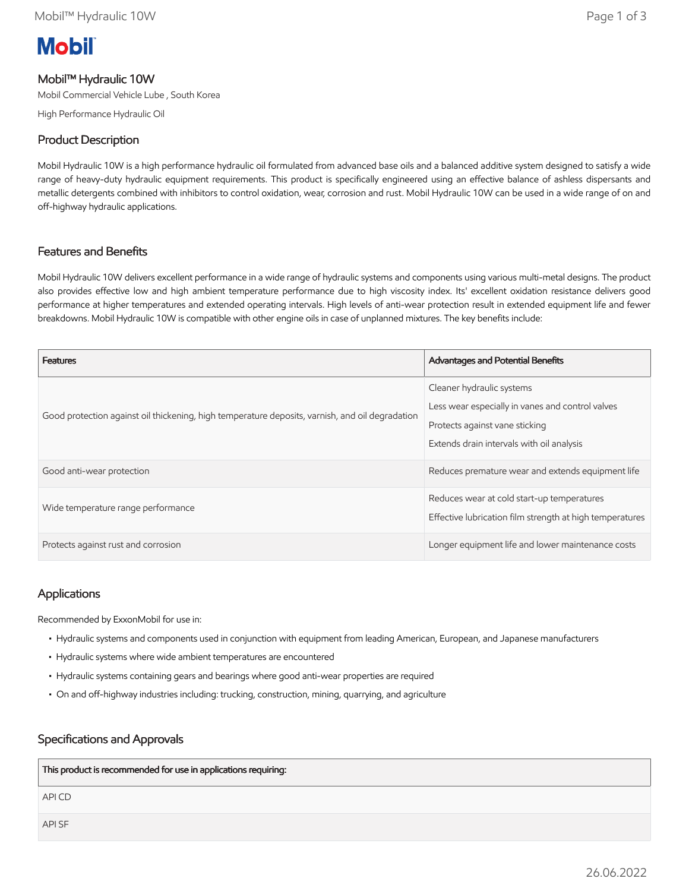# **Mobil**

# Mobil™ Hydraulic 10W

Mobil Commercial Vehicle Lube , South Korea

High Performance Hydraulic Oil

# Product Description

Mobil Hydraulic 10W is a high performance hydraulic oil formulated from advanced base oils and a balanced additive system designed to satisfy a wide range of heavy-duty hydraulic equipment requirements. This product is specifically engineered using an effective balance of ashless dispersants and metallic detergents combined with inhibitors to control oxidation, wear, corrosion and rust. Mobil Hydraulic 10W can be used in a wide range of on and off-highway hydraulic applications.

# Features and Benefits

Mobil Hydraulic 10W delivers excellent performance in a wide range of hydraulic systems and components using various multi-metal designs. The product also provides effective low and high ambient temperature performance due to high viscosity index. Its' excellent oxidation resistance delivers good performance at higher temperatures and extended operating intervals. High levels of anti-wear protection result in extended equipment life and fewer breakdowns. Mobil Hydraulic 10W is compatible with other engine oils in case of unplanned mixtures. The key benefits include:

| <b>Features</b>                                                                                 | <b>Advantages and Potential Benefits</b>                                                                                                                     |
|-------------------------------------------------------------------------------------------------|--------------------------------------------------------------------------------------------------------------------------------------------------------------|
| Good protection against oil thickening, high temperature deposits, varnish, and oil degradation | Cleaner hydraulic systems<br>Less wear especially in vanes and control valves<br>Protects against vane sticking<br>Extends drain intervals with oil analysis |
| Good anti-wear protection                                                                       | Reduces premature wear and extends equipment life                                                                                                            |
| Wide temperature range performance                                                              | Reduces wear at cold start-up temperatures<br>Effective lubrication film strength at high temperatures                                                       |
| Protects against rust and corrosion                                                             | Longer equipment life and lower maintenance costs                                                                                                            |

### Applications

Recommended by ExxonMobil for use in:

- Hydraulic systems and components used in conjunction with equipment from leading American, European, and Japanese manufacturers
- Hydraulic systems where wide ambient temperatures are encountered
- Hydraulic systems containing gears and bearings where good anti-wear properties are required
- On and off-highway industries including: trucking, construction, mining, quarrying, and agriculture

### Specifications and Approvals

| This product is recommended for use in applications requiring: |
|----------------------------------------------------------------|
| API CD                                                         |
| API SF                                                         |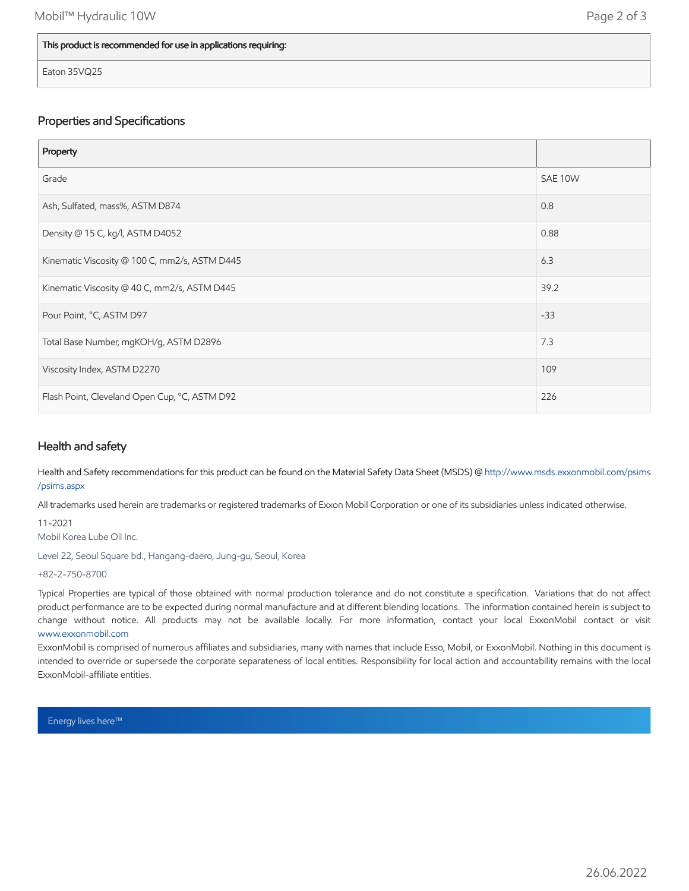#### This product is recommended for use in applications requiring:

Eaton 35VQ25

### Properties and Specifications

| Property                                      |         |
|-----------------------------------------------|---------|
| Grade                                         | SAE 10W |
| Ash, Sulfated, mass%, ASTM D874               | 0.8     |
| Density @ 15 C, kg/l, ASTM D4052              | 0.88    |
| Kinematic Viscosity @ 100 C, mm2/s, ASTM D445 | 6.3     |
| Kinematic Viscosity @ 40 C, mm2/s, ASTM D445  | 39.2    |
| Pour Point, °C, ASTM D97                      | $-33$   |
| Total Base Number, mgKOH/g, ASTM D2896        | 7.3     |
| Viscosity Index, ASTM D2270                   | 109     |
| Flash Point, Cleveland Open Cup, °C, ASTM D92 | 226     |

#### Health and safety

Health and Safety recommendations for this product can be found on the Material Safety Data Sheet (MSDS) @ [http://www.msds.exxonmobil.com/psims](http://www.msds.exxonmobil.com/psims/psims.aspx) /psims.aspx

All trademarks used herein are trademarks or registered trademarks of Exxon Mobil Corporation or one of its subsidiaries unless indicated otherwise.

11-2021 Mobil Korea Lube Oil Inc.

Level 22, Seoul Square bd., Hangang-daero, Jung-gu, Seoul, Korea

+82-2-750-8700

Typical Properties are typical of those obtained with normal production tolerance and do not constitute a specification. Variations that do not affect product performance are to be expected during normal manufacture and at different blending locations. The information contained herein is subject to change without notice. All products may not be available locally. For more information, contact your local ExxonMobil contact or visit [www.exxonmobil.com](http://www.exxonmobil.com/)

ExxonMobil is comprised of numerous affiliates and subsidiaries, many with names that include Esso, Mobil, or ExxonMobil. Nothing in this document is intended to override or supersede the corporate separateness of local entities. Responsibility for local action and accountability remains with the local ExxonMobil-affiliate entities.

Energy lives here™